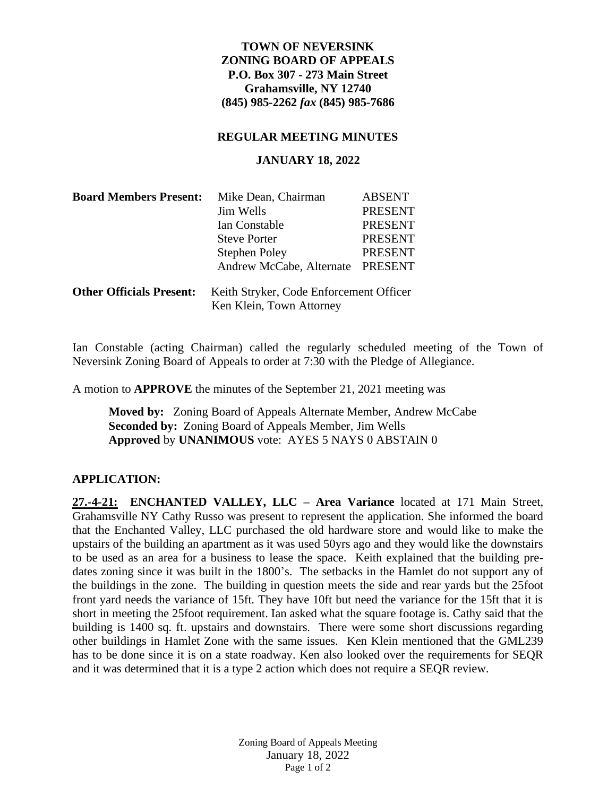# **TOWN OF NEVERSINK ZONING BOARD OF APPEALS P.O. Box 307 - 273 Main Street Grahamsville, NY 12740 (845) 985-2262** *fax* **(845) 985-7686**

#### **REGULAR MEETING MINUTES**

#### **JANUARY 18, 2022**

| <b>Board Members Present:</b>   | Mike Dean, Chairman                                                 | <b>ABSENT</b>  |
|---------------------------------|---------------------------------------------------------------------|----------------|
|                                 | Jim Wells                                                           | <b>PRESENT</b> |
|                                 | Ian Constable                                                       | <b>PRESENT</b> |
|                                 | <b>Steve Porter</b>                                                 | <b>PRESENT</b> |
|                                 | <b>Stephen Poley</b>                                                | <b>PRESENT</b> |
|                                 | Andrew McCabe, Alternate                                            | <b>PRESENT</b> |
| <b>Other Officials Present:</b> | Keith Stryker, Code Enforcement Officer<br>Ken Klein, Town Attorney |                |

Ian Constable (acting Chairman) called the regularly scheduled meeting of the Town of Neversink Zoning Board of Appeals to order at 7:30 with the Pledge of Allegiance.

A motion to **APPROVE** the minutes of the September 21, 2021 meeting was

**Moved by:** Zoning Board of Appeals Alternate Member, Andrew McCabe **Seconded by:** Zoning Board of Appeals Member, Jim Wells **Approved** by **UNANIMOUS** vote: AYES 5 NAYS 0 ABSTAIN 0

### **APPLICATION:**

**27.-4-21: ENCHANTED VALLEY, LLC – Area Variance** located at 171 Main Street, Grahamsville NY Cathy Russo was present to represent the application. She informed the board that the Enchanted Valley, LLC purchased the old hardware store and would like to make the upstairs of the building an apartment as it was used 50yrs ago and they would like the downstairs to be used as an area for a business to lease the space. Keith explained that the building predates zoning since it was built in the 1800's. The setbacks in the Hamlet do not support any of the buildings in the zone. The building in question meets the side and rear yards but the 25foot front yard needs the variance of 15ft. They have 10ft but need the variance for the 15ft that it is short in meeting the 25foot requirement. Ian asked what the square footage is. Cathy said that the building is 1400 sq. ft. upstairs and downstairs. There were some short discussions regarding other buildings in Hamlet Zone with the same issues. Ken Klein mentioned that the GML239 has to be done since it is on a state roadway. Ken also looked over the requirements for SEQR and it was determined that it is a type 2 action which does not require a SEQR review.